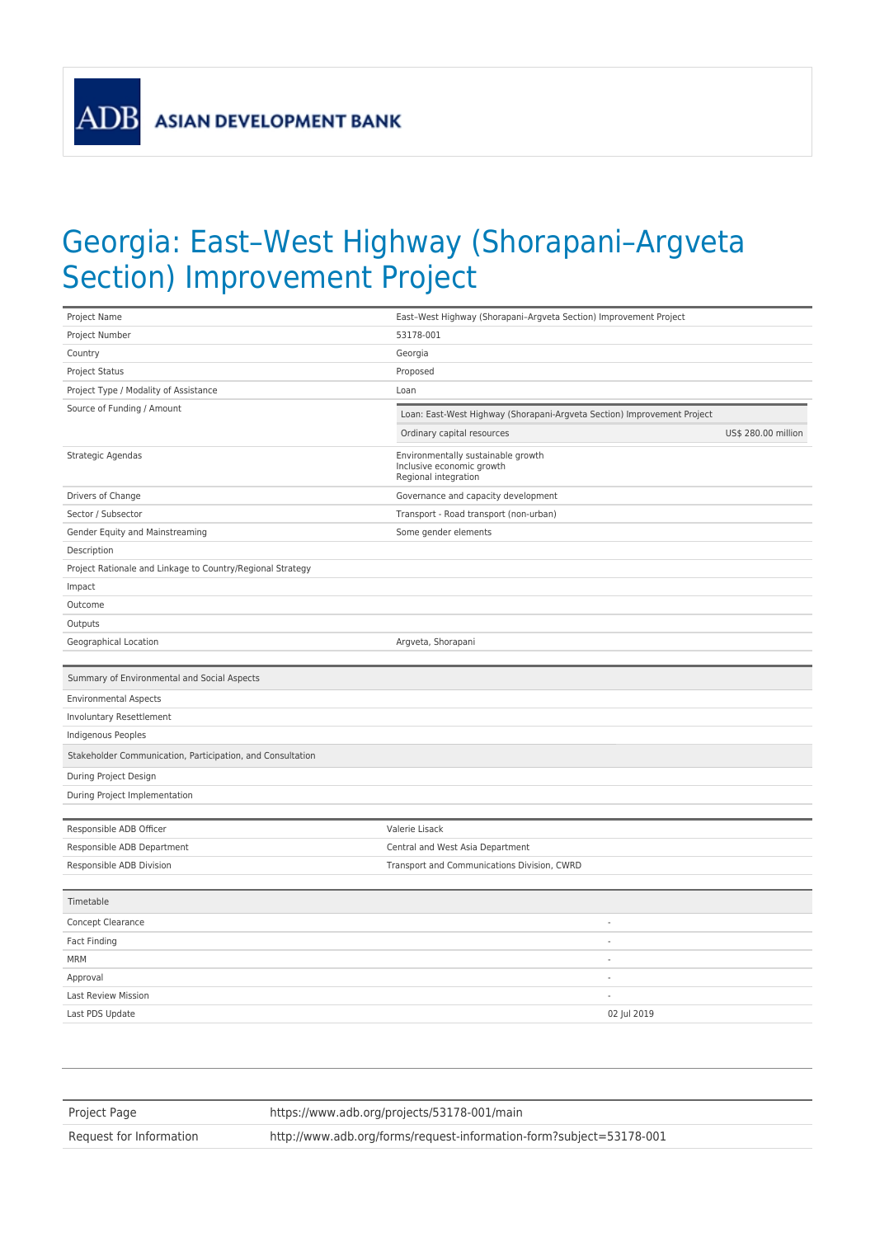**ADB** 

## Georgia: East–West Highway (Shorapani–Argveta Section) Improvement Project

| Project Name                                               | East-West Highway (Shorapani-Argveta Section) Improvement Project                       |                     |
|------------------------------------------------------------|-----------------------------------------------------------------------------------------|---------------------|
| Project Number                                             | 53178-001                                                                               |                     |
| Country                                                    | Georgia                                                                                 |                     |
| Project Status                                             | Proposed                                                                                |                     |
| Project Type / Modality of Assistance                      | Loan                                                                                    |                     |
| Source of Funding / Amount                                 | Loan: East-West Highway (Shorapani-Argveta Section) Improvement Project                 |                     |
|                                                            | Ordinary capital resources                                                              | US\$ 280.00 million |
| Strategic Agendas                                          | Environmentally sustainable growth<br>Inclusive economic growth<br>Regional integration |                     |
| Drivers of Change                                          | Governance and capacity development                                                     |                     |
| Sector / Subsector                                         | Transport - Road transport (non-urban)                                                  |                     |
| Gender Equity and Mainstreaming                            | Some gender elements                                                                    |                     |
| Description                                                |                                                                                         |                     |
| Project Rationale and Linkage to Country/Regional Strategy |                                                                                         |                     |
| Impact                                                     |                                                                                         |                     |
| Outcome                                                    |                                                                                         |                     |
| Outputs                                                    |                                                                                         |                     |
| Geographical Location                                      | Argveta, Shorapani                                                                      |                     |
|                                                            |                                                                                         |                     |
| Summary of Environmental and Social Aspects                |                                                                                         |                     |
| <b>Environmental Aspects</b>                               |                                                                                         |                     |
| Involuntary Resettlement                                   |                                                                                         |                     |
| Indigenous Peoples                                         |                                                                                         |                     |
| Stakeholder Communication, Participation, and Consultation |                                                                                         |                     |
| During Project Design                                      |                                                                                         |                     |
| During Project Implementation                              |                                                                                         |                     |
|                                                            |                                                                                         |                     |
| Responsible ADB Officer                                    | Valerie Lisack                                                                          |                     |
| Responsible ADB Department                                 | Central and West Asia Department                                                        |                     |
| Responsible ADB Division                                   | Transport and Communications Division, CWRD                                             |                     |
| Timetable                                                  |                                                                                         |                     |
| Concept Clearance                                          | $\overline{\phantom{a}}$                                                                |                     |
| Fact Finding                                               | $\overline{a}$                                                                          |                     |
| <b>MRM</b>                                                 | $\overline{\phantom{a}}$                                                                |                     |
| Approval                                                   | $\sim$                                                                                  |                     |
| Last Review Mission                                        | $\overline{\phantom{a}}$                                                                |                     |
| Last PDS Update                                            | 02 Jul 2019                                                                             |                     |
|                                                            |                                                                                         |                     |

| Project Page            | https://www.adb.org/projects/53178-001/main                         |
|-------------------------|---------------------------------------------------------------------|
| Request for Information | http://www.adb.org/forms/request-information-form?subject=53178-001 |